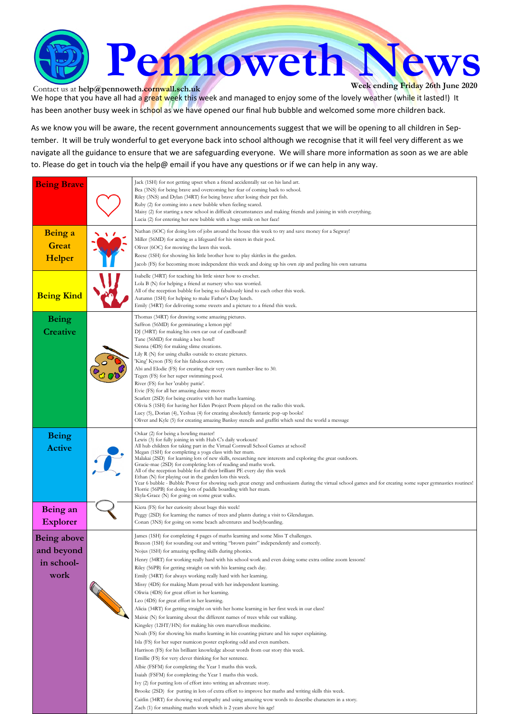

Contact us at **help@pennoweth.cornwall.sch.uk** We hope that you have all had a great week this week and managed to enjoy some of the lovely weather (while it lasted!) It has been another busy week in school as we have opened our final hub bubble and welcomed some more children back.

As we know you will be aware, the recent government announcements suggest that we will be opening to all children in September. It will be truly wonderful to get everyone back into school although we recognise that it will feel very different as we navigate all the guidance to ensure that we are safeguarding everyone. We will share more information as soon as we are able to. Please do get in touch via the help@ email if you have any questions or if we can help in any way.

| <b>Being Brave</b>                                     | Jack (1SH) for not getting upset when a friend accidentally sat on his land art.<br>Bea (3NS) for being brave and overcoming her fear of coming back to school.<br>Riley (3NS) and Dylan (34RT) for being brave after losing their pet fish.<br>Ruby (2) for coming into a new bubble when feeling scared.<br>Maisy (2) for starting a new school in difficult circumstances and making friends and joining in with everything.<br>Lucia (2) for entering her new bubble with a huge smile on her face!                                                                                                                                                                                                                                                                                                                                                                                                                                                                                                                                                                                                                                                                                                                                                                                                                                                                                                                                                                                                                                                                                                                                                                                                           |
|--------------------------------------------------------|-------------------------------------------------------------------------------------------------------------------------------------------------------------------------------------------------------------------------------------------------------------------------------------------------------------------------------------------------------------------------------------------------------------------------------------------------------------------------------------------------------------------------------------------------------------------------------------------------------------------------------------------------------------------------------------------------------------------------------------------------------------------------------------------------------------------------------------------------------------------------------------------------------------------------------------------------------------------------------------------------------------------------------------------------------------------------------------------------------------------------------------------------------------------------------------------------------------------------------------------------------------------------------------------------------------------------------------------------------------------------------------------------------------------------------------------------------------------------------------------------------------------------------------------------------------------------------------------------------------------------------------------------------------------------------------------------------------------|
| Being a<br><b>Great</b><br>Helper                      | Nathan (6OC) for doing lots of jobs around the house this week to try and save money for a Segway!<br>Miller (56MD) for acting as a lifeguard for his sisters in their pool.<br>Oliver (6OC) for mowing the lawn this week.<br>Reese (1SH) for showing his little brother how to play skittles in the garden.<br>Jacob (FS) for becoming more independent this week and doing up his own zip and peeling his own satsuma                                                                                                                                                                                                                                                                                                                                                                                                                                                                                                                                                                                                                                                                                                                                                                                                                                                                                                                                                                                                                                                                                                                                                                                                                                                                                          |
| <b>Being Kind</b>                                      | Isabelle (34RT) for teaching his little sister how to crochet.<br>Lola B (N) for helping a friend at nursery who was worried.<br>All of the reception bubble for being so fabulously kind to each other this week.<br>Autumn (1SH) for helping to make Father's Day lunch.<br>Emily (34RT) for delivering some sweets and a picture to a friend this week.                                                                                                                                                                                                                                                                                                                                                                                                                                                                                                                                                                                                                                                                                                                                                                                                                                                                                                                                                                                                                                                                                                                                                                                                                                                                                                                                                        |
| <b>Being</b><br><b>Creative</b>                        | Thomas (34RT) for drawing some amazing pictures.<br>Saffron (56MD) for germinating a lemon pip!<br>DJ (34RT) for making his own car out of cardboard!<br>Tane (56MD) for making a bee hotel!<br>Sienna (4DS) for making slime creations.<br>Lily R (N) for using chalks outside to create pictures.<br>'King' Kyson (FS) for his fabulous crown.<br>Abi and Elodie (FS) for creating their very own number-line to 30.<br>Tegen (FS) for her super swimming pool.<br>River (FS) for her 'crabby pattie'.<br>Evie (FS) for all her amazing dance moves<br>Scarlett (2SD) for being creative with her maths learning.<br>Olivia S (1SH) for having her Eden Project Poem played on the radio this week.<br>Lucy (5), Dorian (4), Yeshua (4) for creating absolutely fantastic pop-up books!<br>Oliver and Kyle (5) for creating amazing Banksy stencils and graffiti which send the world a message                                                                                                                                                                                                                                                                                                                                                                                                                                                                                                                                                                                                                                                                                                                                                                                                                 |
| <b>Being</b><br><b>Active</b>                          | Oskar (2) for being a bowling master!<br>Lewis (3) for fully joining in with Hub C's daily workouts!<br>All hub children for taking part in the Virtual Cornwall School Games at school!<br>Megan (1SH) for completing a yoga class with her mum.<br>Malakai (2SD) for learning lots of new skills, researching new interests and exploring the great outdoors.<br>Gracie-mae (2SD) for completing lots of reading and maths work.<br>All of the reception bubble for all their brilliant PE every day this week<br>Ethan (N) for playing out in the garden lots this week.<br>Year 6 bubble - Bubble Power for showing such great energy and enthusiasm during the virtual school games and for creating some super gymnastics routines!<br>Florrie (56PB) for doing lots of paddle boarding with her mum.<br>Skyla-Grace (N) for going on some great walks.                                                                                                                                                                                                                                                                                                                                                                                                                                                                                                                                                                                                                                                                                                                                                                                                                                                     |
| Being an<br><b>Explorer</b>                            | Kiera (FS) for her curiosity about bugs this week!<br>Peggy (2SD) for learning the names of trees and plants during a visit to Glendurgan.<br>Conan (3NS) for going on some beach adventures and bodyboarding.                                                                                                                                                                                                                                                                                                                                                                                                                                                                                                                                                                                                                                                                                                                                                                                                                                                                                                                                                                                                                                                                                                                                                                                                                                                                                                                                                                                                                                                                                                    |
| <b>Being above</b><br>and beyond<br>in school-<br>work | James (1SH) for completing 4 pages of maths learning and some Miss T challenges.<br>Braxon (1SH) for sounding out and writing "brown paint" independently and correctly.<br>Nojus (1SH) for amazing spelling skills during phonics.<br>Henry (34RT) for working really hard with his school work and even doing some extra online zoom lessons!<br>Riley (56PB) for getting straight on with his learning each day.<br>Emily (34RT) for always working really hard with her learning.<br>Missy (4DS) for making Mum proud with her independent learning.<br>Oliwia (4DS) for great effort in her learning.<br>Leo (4DS) for great effort in her learning.<br>Alicia (34RT) for getting straight on with her home learning in her first week in our class!<br>Maisie (N) for learning about the different names of trees while out walking.<br>Kingsley (12HT/HN) for making his own marvellous medicine.<br>Noah (FS) for showing his maths learning in his counting picture and his super explaining.<br>Isla (FS) for her super numicon poster exploring odd and even numbers.<br>Harrison (FS) for his brilliant knowledge about words from our story this week.<br>Emillie (FS) for very clever thinking for her sentence.<br>Albie (FSFM) for completing the Year 1 maths this week.<br>Isaiah (FSFM) for completing the Year 1 maths this week.<br>Ivy (2) for putting lots of effort into writing an adventure story.<br>Brooke (2SD) for putting in lots of extra effort to improve her maths and writing skills this week.<br>Caitlin (34RT) for showing real empathy and using amazing wow words to describe characters in a story.<br>Zach (1) for smashing maths work which is 2 years above his age! |